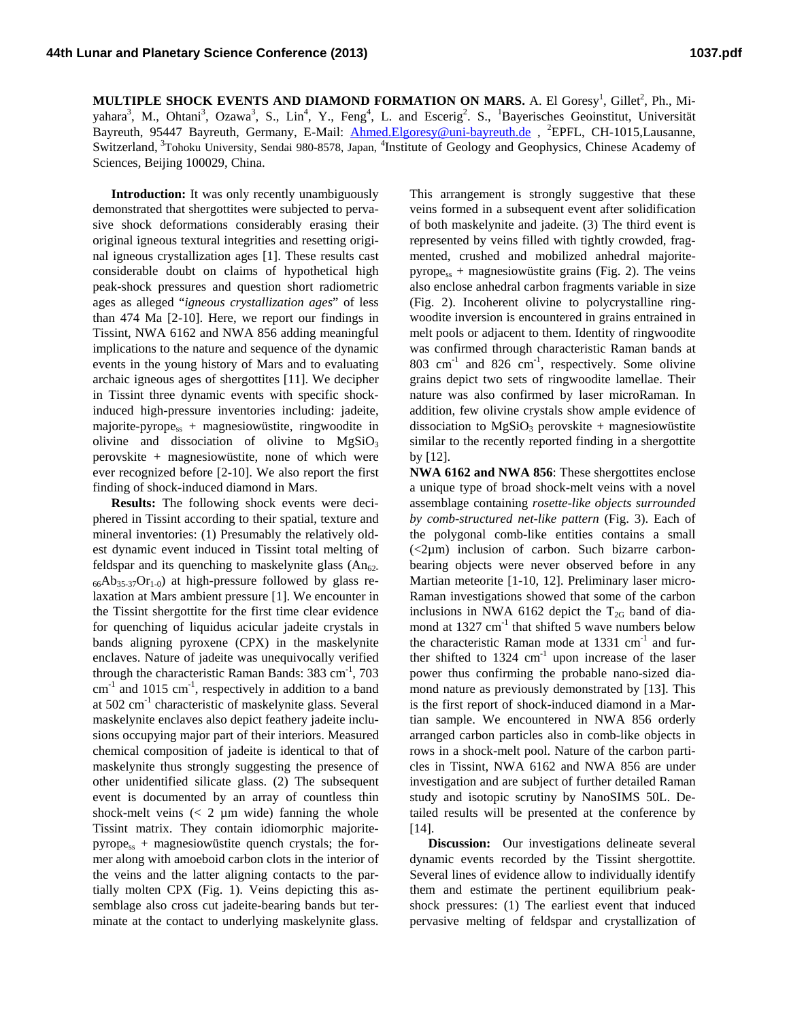MULTIPLE SHOCK EVENTS AND DIAMOND FORMATION ON MARS. A. El Goresy<sup>1</sup>, Gillet<sup>2</sup>, Ph., Miyahara<sup>3</sup>, M., Ohtani<sup>3</sup>, Ozawa<sup>3</sup>, S., Lin<sup>4</sup>, Y., Feng<sup>4</sup>, L. and Escerig<sup>2</sup>. S., <sup>1</sup>Bayerisches Geoinstitut, Universität Bayreuth, 95447 Bayreuth, Germany, E-Mail: *[Ahmed.Elgoresy@uni-bayreuth.de](mailto:Ahmed.Elgoresy@uni-bayreuth.de)*, <sup>2</sup>EPFL, CH-1015,Lausanne, Switzerland, <sup>3</sup>Tohoku University, Sendai 980-8578, Japan, <sup>4</sup>Institute of Geology and Geophysics, Chinese Academy of Sciences, Beijing 100029, China.

**Introduction:** It was only recently unambiguously demonstrated that shergottites were subjected to pervasive shock deformations considerably erasing their original igneous textural integrities and resetting original igneous crystallization ages [1]. These results cast considerable doubt on claims of hypothetical high peak-shock pressures and question short radiometric ages as alleged "*igneous crystallization ages*" of less than 474 Ma [2-10]. Here, we report our findings in Tissint, NWA 6162 and NWA 856 adding meaningful implications to the nature and sequence of the dynamic events in the young history of Mars and to evaluating archaic igneous ages of shergottites [11]. We decipher in Tissint three dynamic events with specific shockinduced high-pressure inventories including: jadeite, majorite-pyrope<sub>ss</sub> + magnesiowüstite, ringwoodite in olivine and dissociation of olivine to  $MgSiO<sub>3</sub>$ perovskite + magnesiowüstite, none of which were ever recognized before [2-10]. We also report the first finding of shock-induced diamond in Mars.

**Results:** The following shock events were deciphered in Tissint according to their spatial, texture and mineral inventories: (1) Presumably the relatively oldest dynamic event induced in Tissint total melting of feldspar and its quenching to maskelynite glass  $(An_{62}$ - $_{66}Ab_{35-37}Or_{1-0}$ ) at high-pressure followed by glass relaxation at Mars ambient pressure [1]. We encounter in the Tissint shergottite for the first time clear evidence for quenching of liquidus acicular jadeite crystals in bands aligning pyroxene (CPX) in the maskelynite enclaves. Nature of jadeite was unequivocally verified through the characteristic Raman Bands:  $383 \text{ cm}^{-1}$ ,  $703$  $cm<sup>-1</sup>$  and 1015  $cm<sup>-1</sup>$ , respectively in addition to a band at  $502 \text{ cm}^{-1}$  characteristic of maskelynite glass. Several maskelynite enclaves also depict feathery jadeite inclusions occupying major part of their interiors. Measured chemical composition of jadeite is identical to that of maskelynite thus strongly suggesting the presence of other unidentified silicate glass. (2) The subsequent event is documented by an array of countless thin shock-melt veins  $(< 2 \mu m$  wide) fanning the whole Tissint matrix. They contain idiomorphic majorite $pyrope<sub>ss</sub> + magnesiumu$  magnesiowüstite quench crystals; the former along with amoeboid carbon clots in the interior of the veins and the latter aligning contacts to the partially molten CPX (Fig. 1). Veins depicting this assemblage also cross cut jadeite-bearing bands but terminate at the contact to underlying maskelynite glass.

This arrangement is strongly suggestive that these veins formed in a subsequent event after solidification of both maskelynite and jadeite. (3) The third event is represented by veins filled with tightly crowded, fragmented, crushed and mobilized anhedral majorite $pyrope_{ss}$  + magnesiowüstite grains (Fig. 2). The veins also enclose anhedral carbon fragments variable in size (Fig. 2). Incoherent olivine to polycrystalline ringwoodite inversion is encountered in grains entrained in melt pools or adjacent to them. Identity of ringwoodite was confirmed through characteristic Raman bands at  $803$  cm<sup>-1</sup> and  $826$  cm<sup>-1</sup>, respectively. Some olivine grains depict two sets of ringwoodite lamellae. Their nature was also confirmed by laser microRaman. In addition, few olivine crystals show ample evidence of dissociation to  $MgSiO<sub>3</sub>$  perovskite + magnesiowüstite similar to the recently reported finding in a shergottite by [12].

**NWA 6162 and NWA 856**: These shergottites enclose a unique type of broad shock-melt veins with a novel assemblage containing *rosette-like objects surrounded by comb-structured net-like pattern* (Fig. 3). Each of the polygonal comb-like entities contains a small  $\langle$  <2 $\mu$ m) inclusion of carbon. Such bizarre carbonbearing objects were never observed before in any Martian meteorite [1-10, 12]. Preliminary laser micro-Raman investigations showed that some of the carbon inclusions in NWA 6162 depict the  $T_{2G}$  band of diamond at  $1327 \text{ cm}^{-1}$  that shifted 5 wave numbers below the characteristic Raman mode at  $1331 \text{ cm}^{-1}$  and further shifted to  $1324 \text{ cm}^{-1}$  upon increase of the laser power thus confirming the probable nano-sized diamond nature as previously demonstrated by [13]. This is the first report of shock-induced diamond in a Martian sample. We encountered in NWA 856 orderly arranged carbon particles also in comb-like objects in rows in a shock-melt pool. Nature of the carbon particles in Tissint, NWA 6162 and NWA 856 are under investigation and are subject of further detailed Raman study and isotopic scrutiny by NanoSIMS 50L. Detailed results will be presented at the conference by [14].

**Discussion:** Our investigations delineate several dynamic events recorded by the Tissint shergottite. Several lines of evidence allow to individually identify them and estimate the pertinent equilibrium peakshock pressures: (1) The earliest event that induced pervasive melting of feldspar and crystallization of